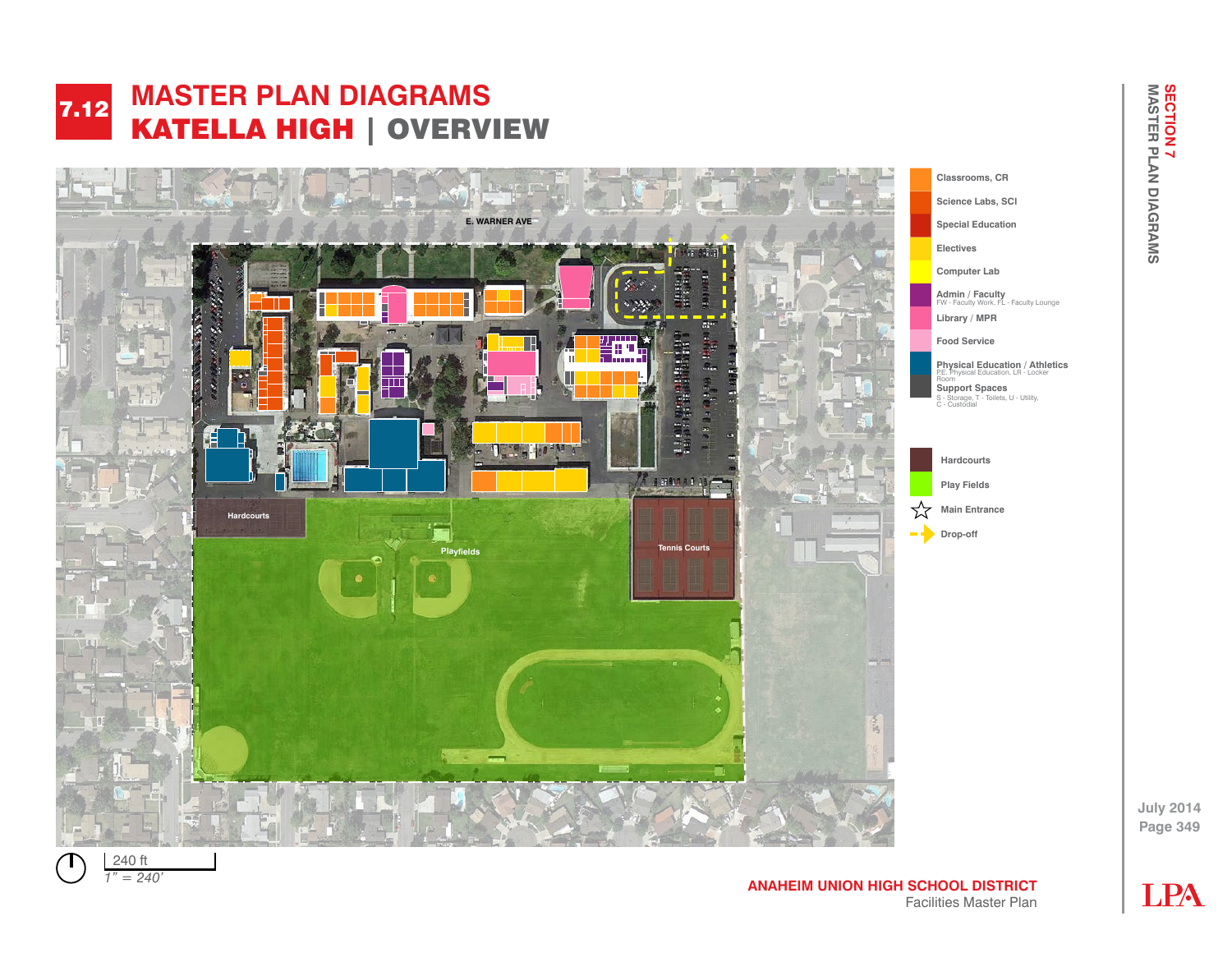



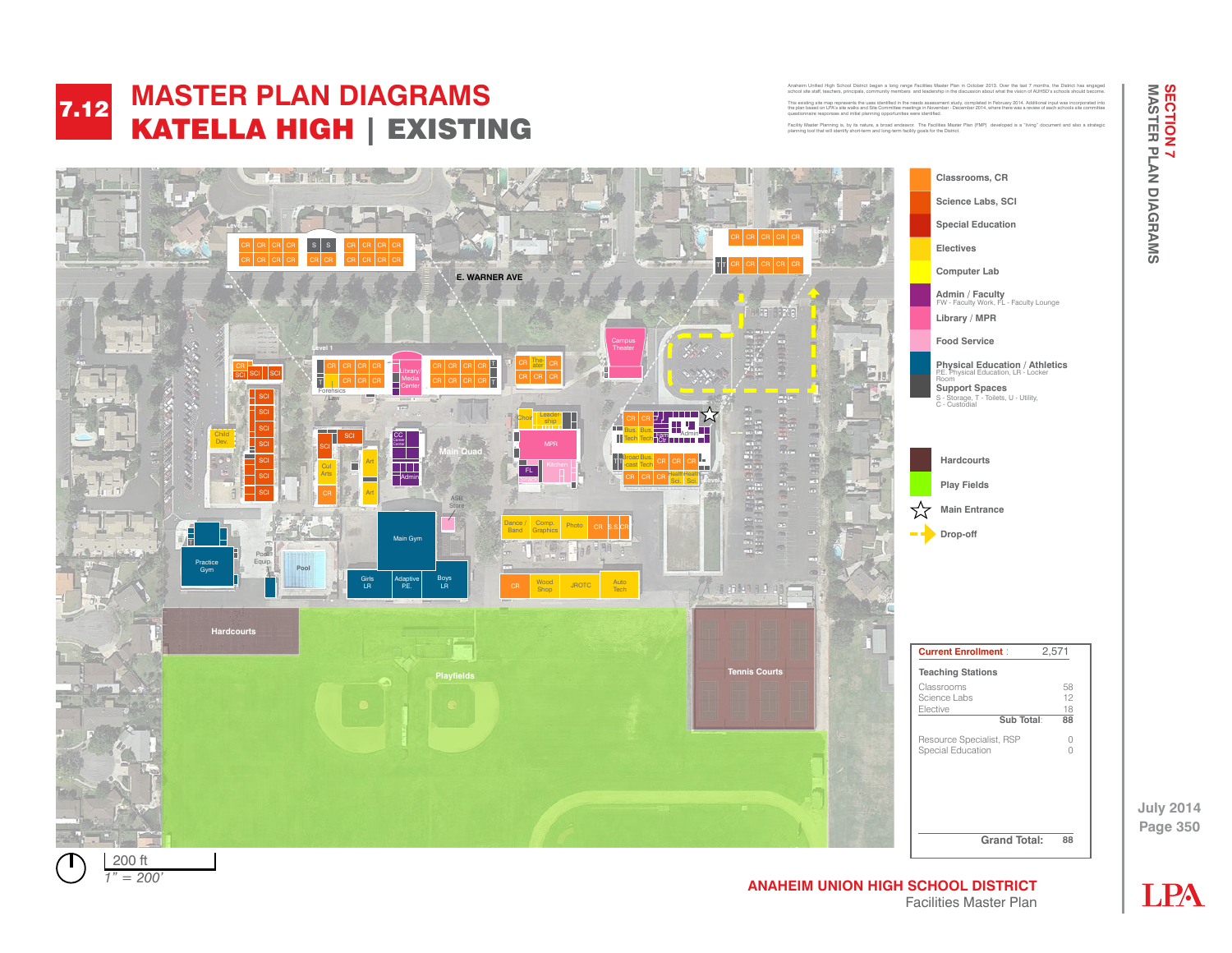

#### **MASTER PLAN DIAGRAMS**  KATELLA HIGH | EXISTING 7.12 **FACILITY AND INCOMENTAL MANUSCRIPTION** KATELA HSHI |

Anaheim Unified High School District began a long range Facilities Master Plan in October 2013. Over the last 7 months, the District has engaged<br>school site staff, teachers, principals, community members and leadership in This existing site map represents the uses identified in the needs assessment study, completed in February 2014. Additional input was incorporated into the plan based on LPA's site walks and Site Committee meetings in November - December 2014, where there was a review of each schools site committee questionnaire responses and initial planning opportunities were identified. Anaheim United High School District began a long range Facilities Master Plan in October 2013. Over the last 7

Facility Master Planning is, by its nature, a broad endeavor. The Facilities Master Plan (FMP) developed is a "living" document and also a strategic planning tool that will identify short-term and long-term facility goals for the District. planning tool that will identify short-term and long-te



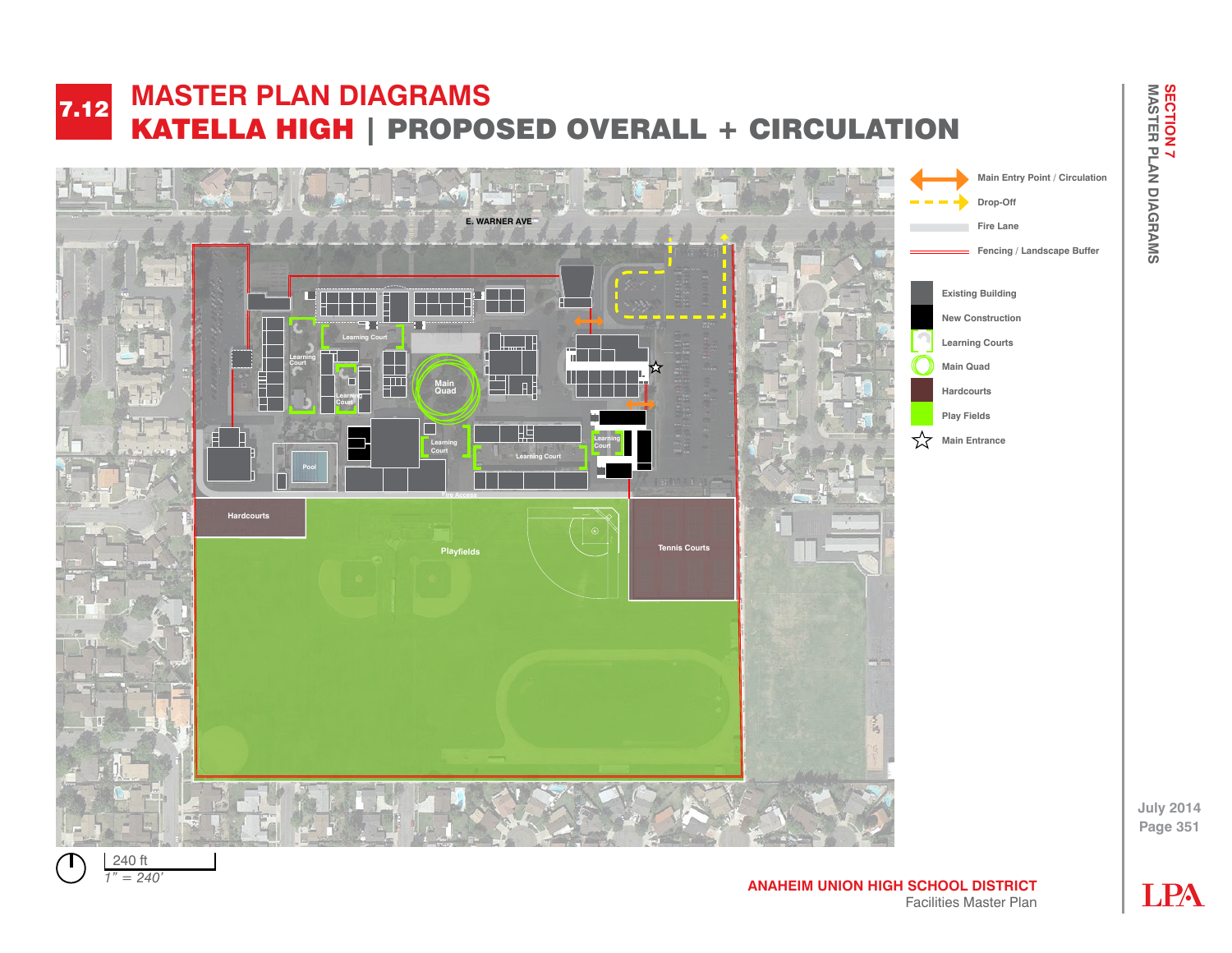#### **FACILITY AND INCOMENTAL MANUSCRIPTION** KATELLA MUIT | PROPOSED SYEMALE **MASTER PLAN DIAGRAMS**  KATELLA HIGH | PROPOSED OVERALL + CIRCULATION 7.12





**Page 351**

**July 2014**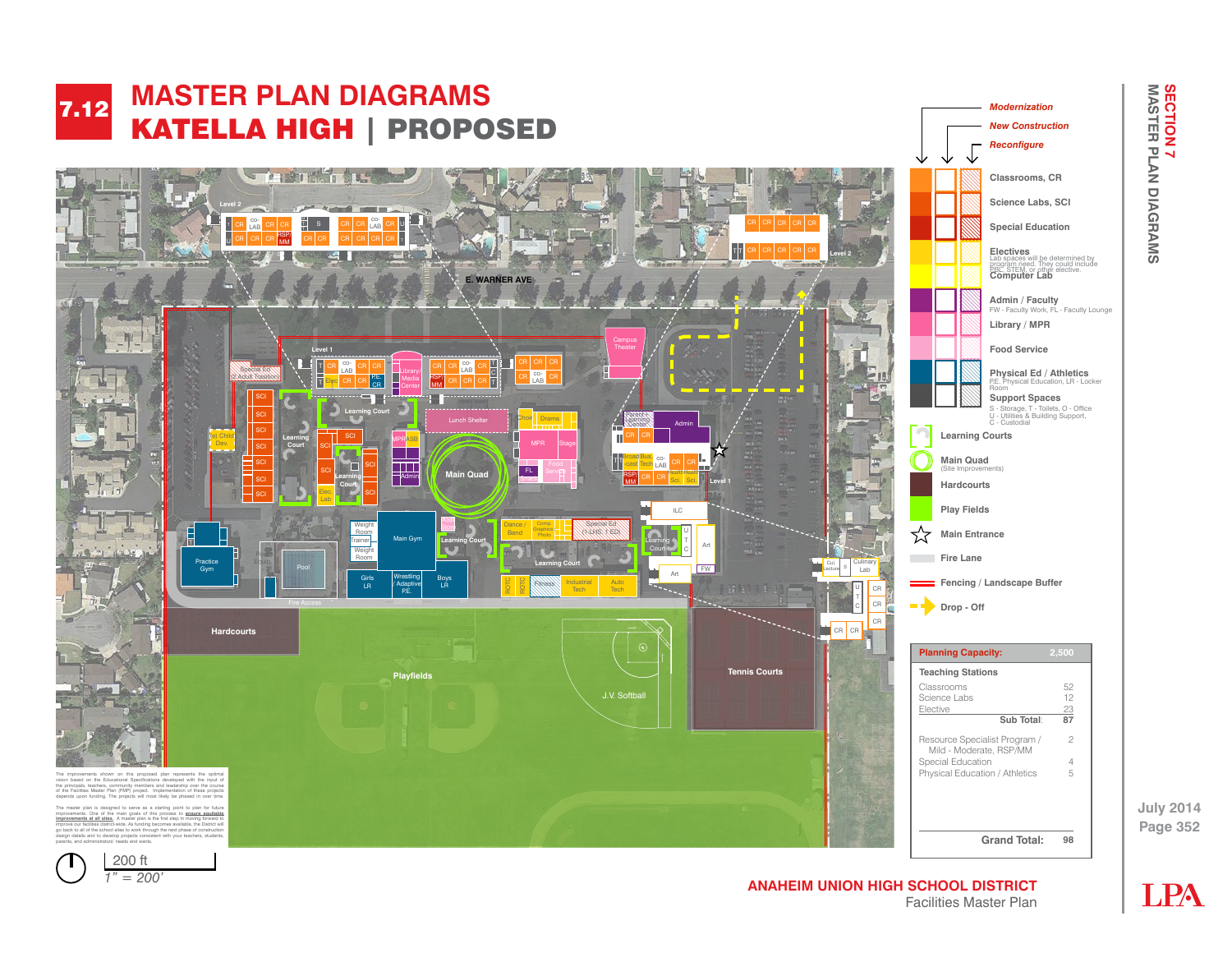

*1" = 50' 1" = 200'*

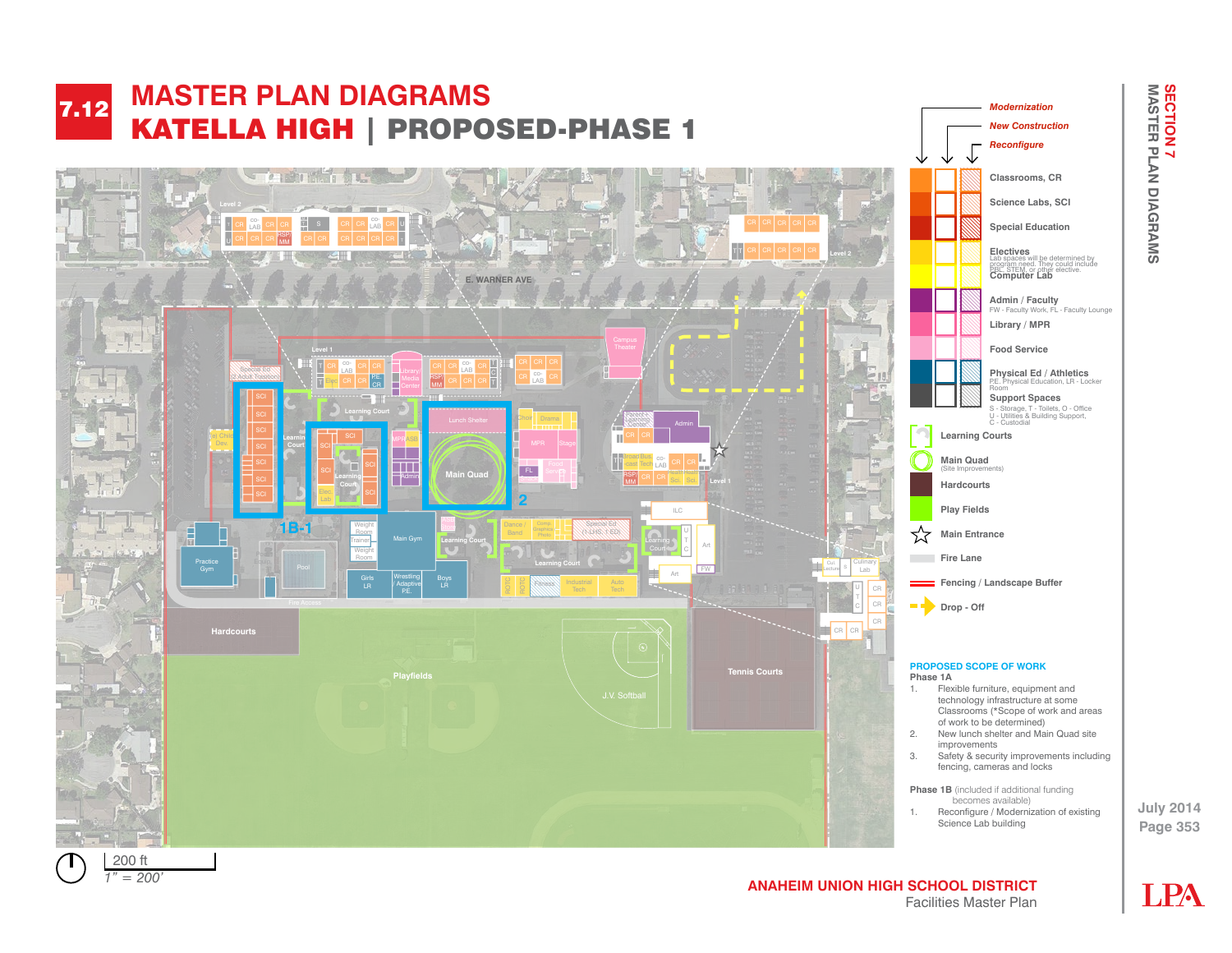

Facilities Master Plan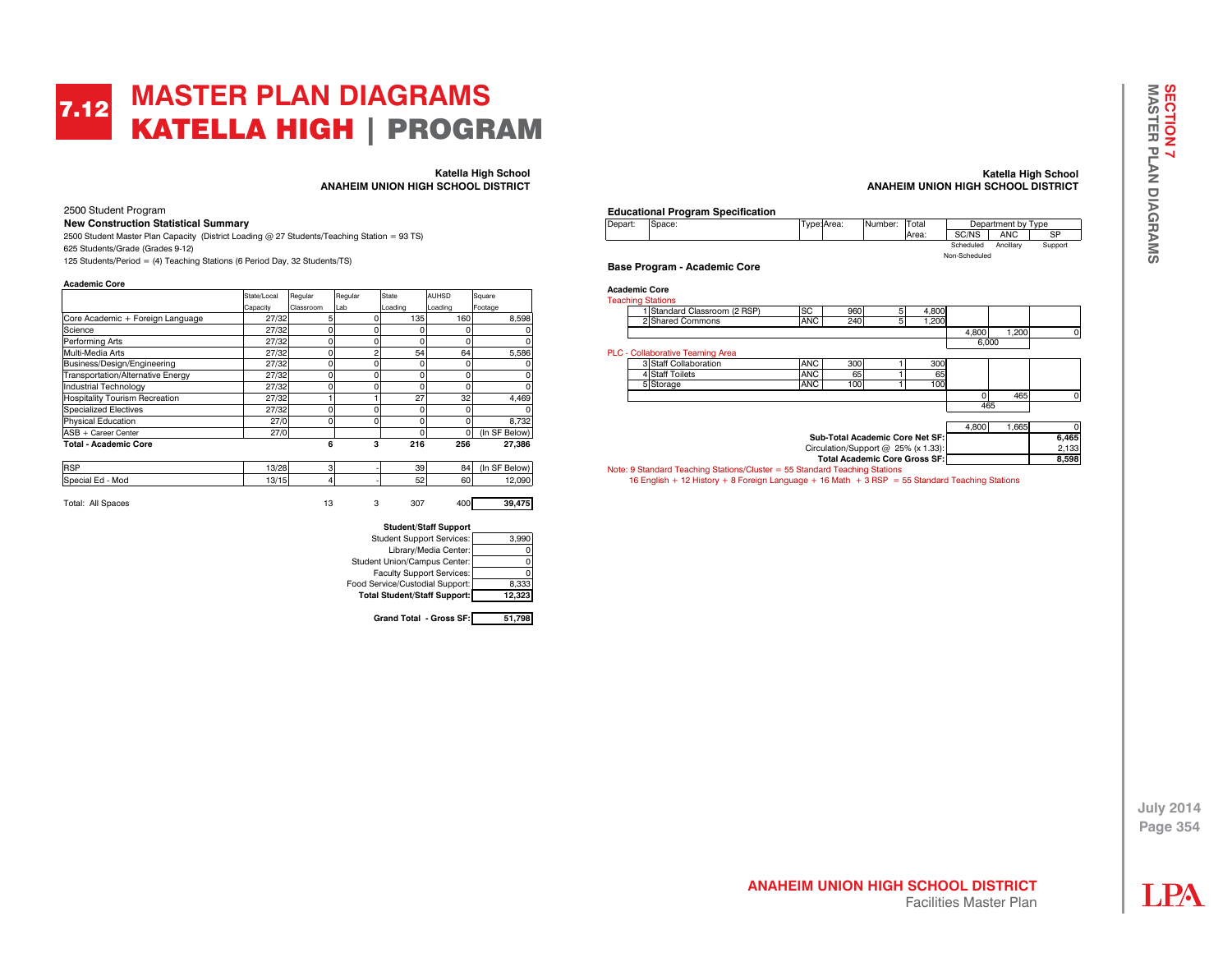## **MASTER PLAN DIAGRAMS**  KATELLA HIGH | PROGRAM 7.12

**Katella High School ANAHEIM UNION HIGH SCHOOL DISTRICT**

2500 Student Program

**New Construction Statistical Summary**

2500 Student Master Plan Capacity (District Loading @ 27 Students/Teaching Station = 93 TS) 625 Students/Grade (Grades 9-12) 125 Students/Period = (4) Teaching Stations (6 Period Day, 32 Students/TS)

**Academic Core** 

|                                          | State/Local | Regular   | Regular | <b>State</b> | <b>AUHSD</b> | Square        |
|------------------------------------------|-------------|-----------|---------|--------------|--------------|---------------|
|                                          | Capacity    | Classroom | Lab     | Loading      | Loading      | Footage       |
| Core Academic + Foreign Language         | 27/32       | 5         |         | 135          | 160          | 8.598         |
| Science                                  | 27/32       |           | 0       |              | 0            |               |
| Performing Arts                          | 27/32       |           | 0       |              | $\Omega$     |               |
| Multi-Media Arts                         | 27/32       | C         | 2       | 54           | 64           | 5.586         |
| Business/Design/Engineering              | 27/32       |           | 0       |              | 0            |               |
| <b>Transportation/Alternative Energy</b> | 27/32       |           | 0       |              | O            |               |
| Industrial Technology                    | 27/32       |           |         |              | 0            |               |
| <b>Hospitality Tourism Recreation</b>    | 27/32       |           |         | 27           | 32           | 4.469         |
| <b>Specialized Electives</b>             | 27/32       |           |         |              | 0            |               |
| <b>Physical Education</b>                | 27/0        |           | O       |              | O            | 8.732         |
| ASB + Career Center                      | 27/0        |           |         |              | 0            | (In SF Below) |
| <b>Total - Academic Core</b>             |             | 6         | 3       | 216          | 256          | 27.386        |

| <b>RSP</b>        | 0/20<br>13/20  | ۰ | 39           | 84 | (Ir<br>$\sim$ $\sim$<br>Below<br>S۳ |
|-------------------|----------------|---|--------------|----|-------------------------------------|
| Special Ed<br>Mod | 10/15<br>19719 | ۰ | $\sim$<br>ు∠ | 60 | 090                                 |
|                   |                |   |              |    |                                     |





**Grand Total - Gross SF: 51,798**

#### **Katella High School ANAHEIM UNION HIGH SCHOOL DISTRICT**





**Base Program - Academic Core** 



16 English + 12 History + 8 Foreign Language + 16 Math + 3 RSP = 55 Standard Teaching Stations

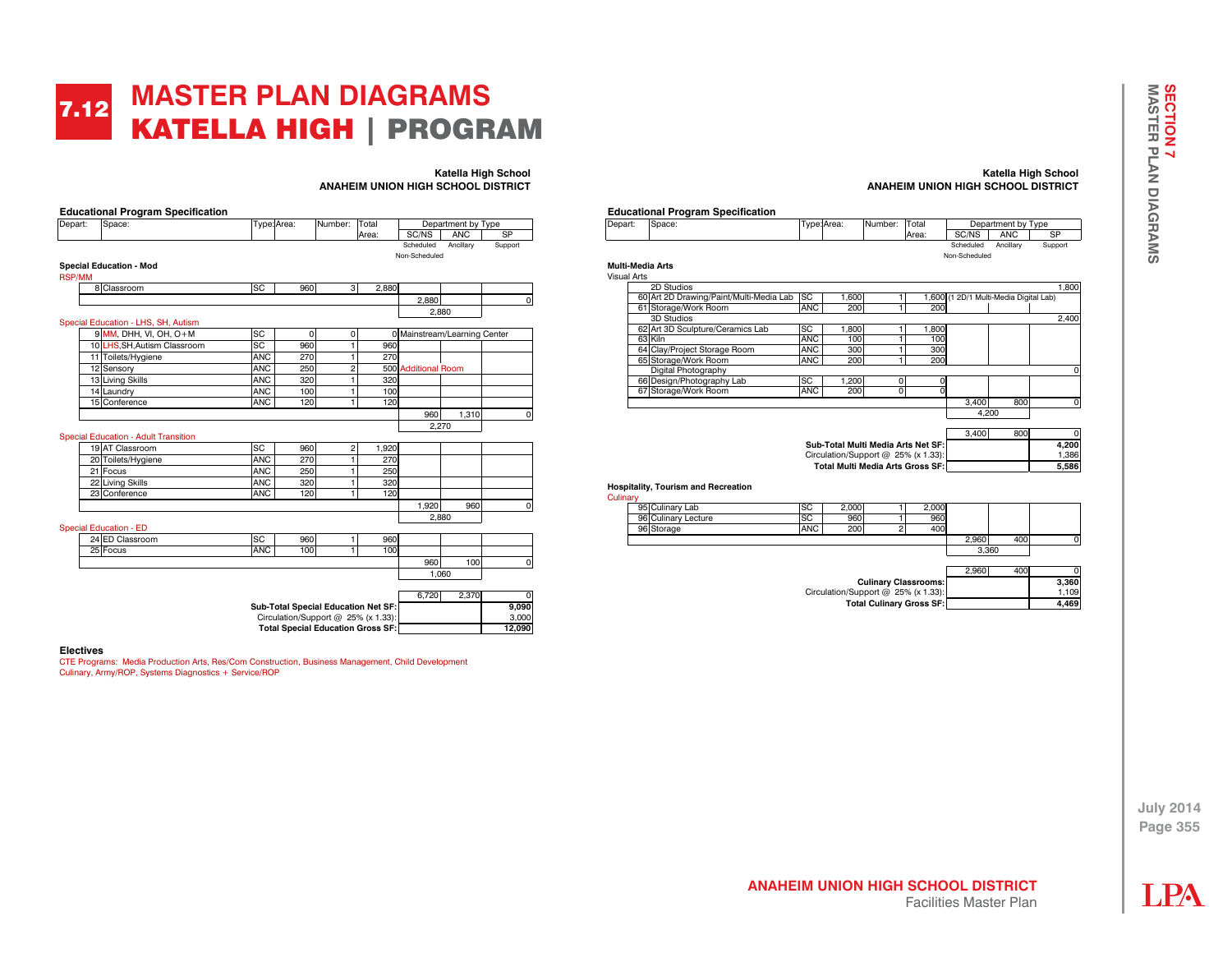## **MASTER PLAN DIAGRAMS**  KATELLA HIGH | PROGRAM 7.12

|               | <b>Educational Program Specification</b>         |            |                                          |                |       |                              |                    |           |  |
|---------------|--------------------------------------------------|------------|------------------------------------------|----------------|-------|------------------------------|--------------------|-----------|--|
| Depart:       | Space:                                           |            | Type: Area:                              | Number:        | Total |                              | Department by Type |           |  |
|               |                                                  |            |                                          |                | Area: | SC/NS                        | <b>ANC</b>         | <b>SP</b> |  |
|               |                                                  |            |                                          |                |       | Scheduled                    | Ancillary          | Support   |  |
|               |                                                  |            |                                          |                |       | Non-Scheduled                |                    |           |  |
| <b>RSP/MM</b> | <b>Special Education - Mod</b>                   |            |                                          |                |       |                              |                    |           |  |
|               | 8 Classroom                                      | SC         | 960                                      | $\mathbf{3}$   | 2.880 |                              |                    |           |  |
|               |                                                  |            |                                          |                |       | 2.880                        |                    | $\Omega$  |  |
|               |                                                  |            |                                          |                |       |                              | 2.880              |           |  |
|               | Special Education - LHS, SH, Autism              |            |                                          |                |       |                              |                    |           |  |
|               | $9$ MM, DHH, VI, OH, O+M                         | SC         | 0                                        | 0              |       | 0 Mainstream/Learning Center |                    |           |  |
|               | 10 LHS.SH.Autism Classroom                       | SC         | 960                                      | 1              | 960   |                              |                    |           |  |
|               | 11 Toilets/Hygiene                               | <b>ANC</b> | 270                                      | $\mathbf{1}$   | 270   |                              |                    |           |  |
|               | 12 Sensory                                       | <b>ANC</b> | 250                                      | $\overline{2}$ |       | 500 Additional Room          |                    |           |  |
|               | 13 Living Skills                                 | <b>ANC</b> | 320                                      | 1              | 320   |                              |                    |           |  |
|               | 14 Laundry                                       | <b>ANC</b> | 100                                      | 1              | 100   |                              |                    |           |  |
|               | 15 Conference                                    | <b>ANC</b> | 120                                      | 1              | 120   |                              |                    |           |  |
|               |                                                  |            |                                          |                |       | 960                          | 1.310              | $\Omega$  |  |
|               |                                                  |            |                                          |                |       |                              | 2.270              |           |  |
|               | <b>Special Education - Adult Transition</b>      |            |                                          |                |       |                              |                    |           |  |
|               | 19 AT Classroom                                  | SC         | 960                                      | $\overline{c}$ | 1,920 |                              |                    |           |  |
|               | 20 Toilets/Hygiene                               | <b>ANC</b> | 270                                      | $\mathbf{1}$   | 270   |                              |                    |           |  |
|               | 21 Focus                                         | <b>ANC</b> | 250                                      | 1              | 250   |                              |                    |           |  |
|               | 22 Living Skills                                 | <b>ANC</b> | 320                                      | 1              | 320   |                              |                    |           |  |
|               | 23 Conference                                    | <b>ANC</b> | 120                                      | 1              | 120   |                              |                    |           |  |
|               |                                                  |            |                                          |                |       | 1,920                        | 960                | $\Omega$  |  |
|               |                                                  |            |                                          |                |       |                              | 2.880              |           |  |
|               | <b>Special Education - ED</b><br>24 ED Classroom | SC         | 960                                      |                | 960   |                              |                    |           |  |
|               | 25 Focus                                         | <b>ANC</b> | 100                                      | 1<br>1         | 100   |                              |                    |           |  |
|               |                                                  |            |                                          |                |       | 960                          | 100                | $\Omega$  |  |
|               |                                                  |            |                                          |                |       |                              | 1,060              |           |  |
|               |                                                  |            |                                          |                |       |                              |                    |           |  |
|               |                                                  |            |                                          |                |       | 6,720                        | 2,370              | 0         |  |
|               |                                                  |            | Sub-Total Special Education Net SF:      |                |       |                              |                    | 9.090     |  |
|               |                                                  |            | Circulation/Support @ 25% (x 1.33):      |                |       |                              |                    | 3,000     |  |
|               |                                                  |            | <b>Total Special Education Gross SF:</b> |                |       |                              |                    | 12,090    |  |

#### **Electives**

CTE Programs: Media Production Arts, Res/Com Construction, Business Management, Child Development Culinary, Army/ROP, Systems Diagnostics + Service/ROP

#### **Katella High School ANAHEIM UNION HIGH SCHOOL DISTRICT**



#### Cul

| linarv |                     |            |       |  |                        |       |     |       |
|--------|---------------------|------------|-------|--|------------------------|-------|-----|-------|
|        | 95 Culinary Lab     | <b>SC</b>  | 2,000 |  | 2,000                  |       |     |       |
|        | 96 Culinary Lecture | <b>SC</b>  | 960   |  | 960                    |       |     |       |
|        | 96 Storage          | <b>ANC</b> | 200   |  | 400                    |       |     |       |
|        |                     |            |       |  |                        | 2,960 | 400 |       |
|        |                     |            |       |  |                        |       |     |       |
|        |                     |            |       |  |                        |       |     |       |
|        |                     |            |       |  |                        | 2,960 | 400 |       |
|        |                     |            |       |  | Culinary Classrooms: I |       |     | 3.360 |

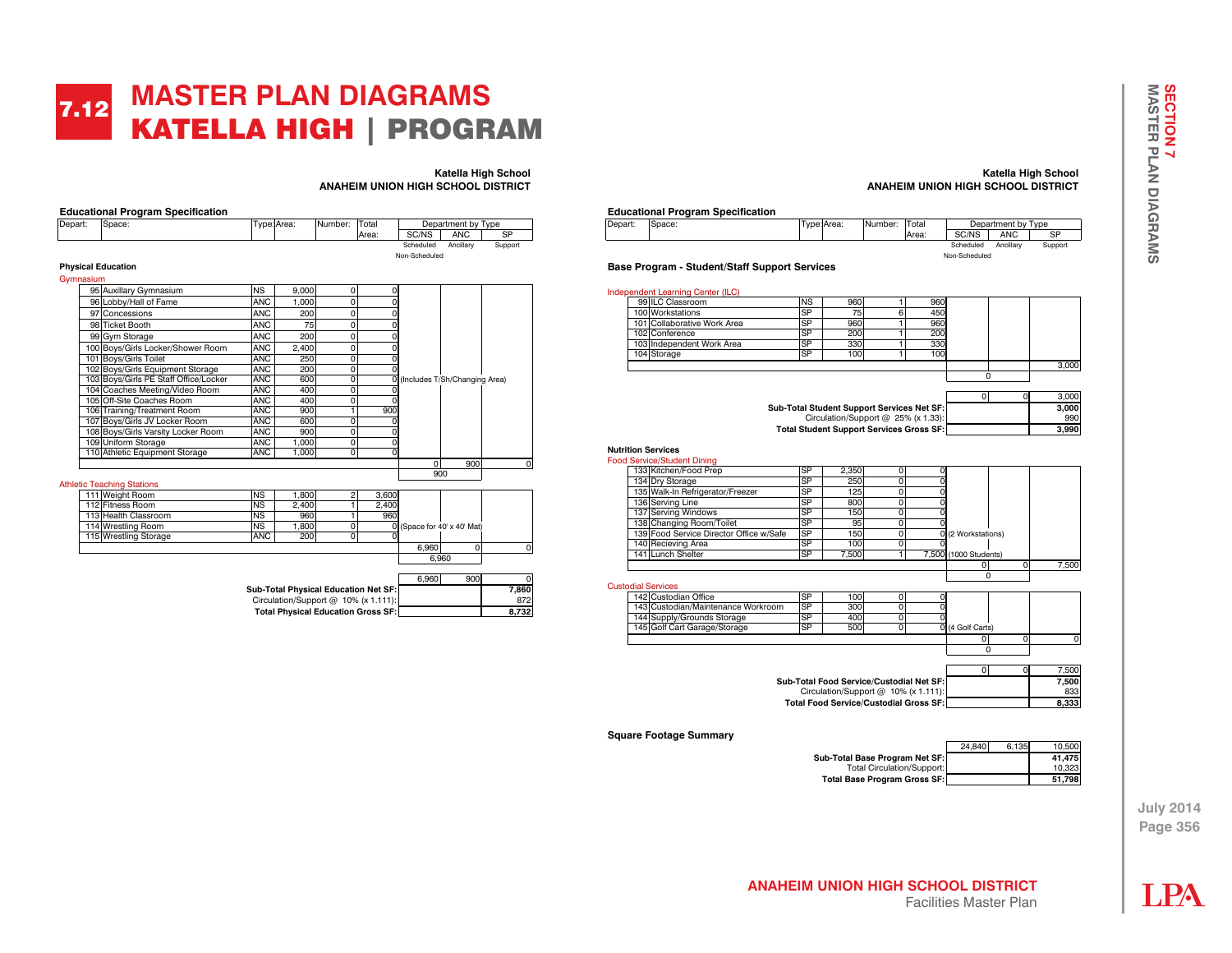## **MASTER PLAN DIAGRAMS**  KATELLA HIGH | PROGRAM 7.12

| <b>SP</b><br><b>ANC</b><br>SC/NS<br>Area:<br>Scheduled<br>Ancillarv<br>Non-Scheduled<br><b>Physical Education</b><br>Gymnasium<br><b>NS</b><br>95 Auxillary Gymnasium<br>9.000<br>0<br>0<br>96 Lobby/Hall of Fame<br><b>ANC</b><br>1.000<br>0<br>0<br><b>ANC</b><br>97 Concessions<br>0<br>200<br>0<br><b>ANC</b><br>0<br>98 Ticket Booth<br>75<br>0<br><b>ANC</b><br>99 Gym Storage<br>0<br>200<br>$\Omega$<br>100 Boys/Girls Locker/Shower Room<br><b>ANC</b><br>0<br>2,400<br>0<br><b>ANC</b><br>101 Bovs/Girls Toilet<br>250<br>0<br>$\Omega$<br>102 Boys/Girls Equipment Storage<br><b>ANC</b><br>200<br>0<br>O<br>103 Boys/Girls PE Staff Office/Locker<br><b>ANC</b><br>$\overline{0}$<br>600<br>0 (Includes T/Sh/Changing Area)<br>104 Coaches Meeting/Video Room<br><b>ANC</b><br>0<br>400<br>105 Off-Site Coaches Room<br><b>ANC</b><br>0<br>400<br>O<br><b>ANC</b><br>106 Training/Treatment Room<br>900<br>900<br>1<br><b>ANC</b><br>107 Boys/Girls JV Locker Room<br>0<br>600<br>O<br>108 Boys/Girls Varsity Locker Room<br><b>ANC</b><br>0<br>900<br>$\Omega$<br>109 Uniform Storage<br><b>ANC</b><br>0<br>1.000<br>$\Omega$<br><b>ANC</b><br>$\overline{0}$<br>110 Athletic Equipment Storage<br>1.000<br>$\Omega$ | Depart: | Space:          |           | Type: Area: | Number: | Total |          | Department by Type |         |
|-----------------------------------------------------------------------------------------------------------------------------------------------------------------------------------------------------------------------------------------------------------------------------------------------------------------------------------------------------------------------------------------------------------------------------------------------------------------------------------------------------------------------------------------------------------------------------------------------------------------------------------------------------------------------------------------------------------------------------------------------------------------------------------------------------------------------------------------------------------------------------------------------------------------------------------------------------------------------------------------------------------------------------------------------------------------------------------------------------------------------------------------------------------------------------------------------------------------------------------|---------|-----------------|-----------|-------------|---------|-------|----------|--------------------|---------|
|                                                                                                                                                                                                                                                                                                                                                                                                                                                                                                                                                                                                                                                                                                                                                                                                                                                                                                                                                                                                                                                                                                                                                                                                                                   |         |                 |           |             |         |       |          |                    |         |
|                                                                                                                                                                                                                                                                                                                                                                                                                                                                                                                                                                                                                                                                                                                                                                                                                                                                                                                                                                                                                                                                                                                                                                                                                                   |         |                 |           |             |         |       |          |                    | Support |
|                                                                                                                                                                                                                                                                                                                                                                                                                                                                                                                                                                                                                                                                                                                                                                                                                                                                                                                                                                                                                                                                                                                                                                                                                                   |         |                 |           |             |         |       |          |                    |         |
|                                                                                                                                                                                                                                                                                                                                                                                                                                                                                                                                                                                                                                                                                                                                                                                                                                                                                                                                                                                                                                                                                                                                                                                                                                   |         |                 |           |             |         |       |          |                    |         |
|                                                                                                                                                                                                                                                                                                                                                                                                                                                                                                                                                                                                                                                                                                                                                                                                                                                                                                                                                                                                                                                                                                                                                                                                                                   |         |                 |           |             |         |       |          |                    |         |
|                                                                                                                                                                                                                                                                                                                                                                                                                                                                                                                                                                                                                                                                                                                                                                                                                                                                                                                                                                                                                                                                                                                                                                                                                                   |         |                 |           |             |         |       |          |                    |         |
|                                                                                                                                                                                                                                                                                                                                                                                                                                                                                                                                                                                                                                                                                                                                                                                                                                                                                                                                                                                                                                                                                                                                                                                                                                   |         |                 |           |             |         |       |          |                    |         |
|                                                                                                                                                                                                                                                                                                                                                                                                                                                                                                                                                                                                                                                                                                                                                                                                                                                                                                                                                                                                                                                                                                                                                                                                                                   |         |                 |           |             |         |       |          |                    |         |
|                                                                                                                                                                                                                                                                                                                                                                                                                                                                                                                                                                                                                                                                                                                                                                                                                                                                                                                                                                                                                                                                                                                                                                                                                                   |         |                 |           |             |         |       |          |                    |         |
|                                                                                                                                                                                                                                                                                                                                                                                                                                                                                                                                                                                                                                                                                                                                                                                                                                                                                                                                                                                                                                                                                                                                                                                                                                   |         |                 |           |             |         |       |          |                    |         |
|                                                                                                                                                                                                                                                                                                                                                                                                                                                                                                                                                                                                                                                                                                                                                                                                                                                                                                                                                                                                                                                                                                                                                                                                                                   |         |                 |           |             |         |       |          |                    |         |
|                                                                                                                                                                                                                                                                                                                                                                                                                                                                                                                                                                                                                                                                                                                                                                                                                                                                                                                                                                                                                                                                                                                                                                                                                                   |         |                 |           |             |         |       |          |                    |         |
|                                                                                                                                                                                                                                                                                                                                                                                                                                                                                                                                                                                                                                                                                                                                                                                                                                                                                                                                                                                                                                                                                                                                                                                                                                   |         |                 |           |             |         |       |          |                    |         |
|                                                                                                                                                                                                                                                                                                                                                                                                                                                                                                                                                                                                                                                                                                                                                                                                                                                                                                                                                                                                                                                                                                                                                                                                                                   |         |                 |           |             |         |       |          |                    |         |
|                                                                                                                                                                                                                                                                                                                                                                                                                                                                                                                                                                                                                                                                                                                                                                                                                                                                                                                                                                                                                                                                                                                                                                                                                                   |         |                 |           |             |         |       |          |                    |         |
|                                                                                                                                                                                                                                                                                                                                                                                                                                                                                                                                                                                                                                                                                                                                                                                                                                                                                                                                                                                                                                                                                                                                                                                                                                   |         |                 |           |             |         |       |          |                    |         |
|                                                                                                                                                                                                                                                                                                                                                                                                                                                                                                                                                                                                                                                                                                                                                                                                                                                                                                                                                                                                                                                                                                                                                                                                                                   |         |                 |           |             |         |       |          |                    |         |
|                                                                                                                                                                                                                                                                                                                                                                                                                                                                                                                                                                                                                                                                                                                                                                                                                                                                                                                                                                                                                                                                                                                                                                                                                                   |         |                 |           |             |         |       |          |                    |         |
|                                                                                                                                                                                                                                                                                                                                                                                                                                                                                                                                                                                                                                                                                                                                                                                                                                                                                                                                                                                                                                                                                                                                                                                                                                   |         |                 |           |             |         |       |          |                    |         |
|                                                                                                                                                                                                                                                                                                                                                                                                                                                                                                                                                                                                                                                                                                                                                                                                                                                                                                                                                                                                                                                                                                                                                                                                                                   |         |                 |           |             |         |       |          |                    |         |
|                                                                                                                                                                                                                                                                                                                                                                                                                                                                                                                                                                                                                                                                                                                                                                                                                                                                                                                                                                                                                                                                                                                                                                                                                                   |         |                 |           |             |         |       |          |                    |         |
|                                                                                                                                                                                                                                                                                                                                                                                                                                                                                                                                                                                                                                                                                                                                                                                                                                                                                                                                                                                                                                                                                                                                                                                                                                   |         |                 |           |             |         |       | $\Omega$ | 900                |         |
|                                                                                                                                                                                                                                                                                                                                                                                                                                                                                                                                                                                                                                                                                                                                                                                                                                                                                                                                                                                                                                                                                                                                                                                                                                   |         |                 |           |             |         |       |          |                    |         |
| <b>Athletic Teaching Stations</b>                                                                                                                                                                                                                                                                                                                                                                                                                                                                                                                                                                                                                                                                                                                                                                                                                                                                                                                                                                                                                                                                                                                                                                                                 |         | 111 Weight Room | <b>NS</b> | 1,800       | 2       | 3,600 |          |                    |         |

|  | <b>Athletic Teaching Stations</b> |  |
|--|-----------------------------------|--|
|  | 111 Weight Room                   |  |

F

|                       |            |        |       |       | 6.960                       |  |
|-----------------------|------------|--------|-------|-------|-----------------------------|--|
|                       |            |        |       | 6.960 |                             |  |
| 115 Wrestling Storage | <b>ANC</b> | 200    |       |       |                             |  |
| 114 Wrestling Room    | <b>NS</b>  | 1.800  |       |       | 0 (Space for 40' x 40' Mat) |  |
| 113 Health Classroom  | <b>NS</b>  | 960    | 960   |       |                             |  |
| 112 Fitness Room      | <b>NS</b>  | 2.400  | 2.400 |       |                             |  |
| 111 I Weight Room     | INS        | 1.8001 | 3.600 |       |                             |  |

|                                           | 6.960 | 900 <b>1</b> |       |
|-------------------------------------------|-------|--------------|-------|
| Sub-Total Physical Education Net SF:      |       |              | 7.860 |
| Circulation/Support $@$ 10% (x 1.111):    |       |              | 872   |
| <b>Total Physical Education Gross SF:</b> |       |              | 8.732 |

**Katella High School**

#### **Katella High School ANAHEIM UNION HIGH SCHOOL DISTRICT**



| Number: Total |       |           | Department by Type |         |  |  |  |  |
|---------------|-------|-----------|--------------------|---------|--|--|--|--|
|               | Area: | SC/NS     | <b>ANC</b>         | SP      |  |  |  |  |
|               |       | Scheduled | Ancillary          | Support |  |  |  |  |
| Non-Scheduled |       |           |                    |         |  |  |  |  |

**Base Program - Student/Staff Support Services**

| 99 ILC Classroom                                  | <b>NS</b>              | 960                                        | 1              | 960            |                       |          |       |
|---------------------------------------------------|------------------------|--------------------------------------------|----------------|----------------|-----------------------|----------|-------|
| 100 Workstations                                  | SP                     | 75                                         | 6              | 450            |                       |          |       |
| 101 Collaborative Work Area                       | <b>SP</b>              | 960                                        | $\mathbf{1}$   | 960            |                       |          |       |
| 102 Conference                                    | <b>SP</b>              | 200                                        | $\mathbf{1}$   | 200            |                       |          |       |
| 103 Independent Work Area                         | S <sub>P</sub>         | 330                                        | $\mathbf{1}$   | 330            |                       |          |       |
| 104 Storage                                       | SP                     | 100                                        | 1              | 100            |                       |          |       |
|                                                   |                        |                                            |                |                |                       |          | 3,000 |
|                                                   |                        |                                            |                |                | 0                     |          |       |
|                                                   |                        |                                            |                |                | $\mathbf 0$           | $\Omega$ | 3.000 |
|                                                   |                        | Sub-Total Student Support Services Net SF: |                |                |                       |          | 3,000 |
|                                                   |                        | Circulation/Support @ 25% (x 1.33):        |                |                |                       |          | 990   |
|                                                   |                        | Total Student Support Services Gross SF:   |                |                |                       |          | 3.990 |
|                                                   |                        |                                            |                |                |                       |          |       |
| <b>Nutrition Services</b>                         |                        |                                            |                |                |                       |          |       |
| <b>Food Service/Student Dining</b>                |                        |                                            |                |                |                       |          |       |
| 133 Kitchen/Food Prep                             | <b>SP</b>              | 2.350                                      | 0              | 0              |                       |          |       |
| 134 Dry Storage                                   | SP                     | 250                                        | 0              | $\overline{0}$ |                       |          |       |
| 135 Walk-In Refrigerator/Freezer                  | <b>SP</b>              | 125                                        | 0              | $\overline{0}$ |                       |          |       |
| 136 Serving Line                                  | $\overline{\text{SP}}$ | 800                                        | 0              | 0              |                       |          |       |
| 137 Serving Windows                               | <b>SP</b>              | 150                                        | 0              | 0              |                       |          |       |
| 138 Changing Room/Toilet                          | SP                     | 95                                         | 0              | $\Omega$       |                       |          |       |
| 139 Food Service Director Office w/Safe           | <b>SP</b>              | 150                                        | 0              |                | 0 (2 Workstations)    |          |       |
| 140 Recieving Area                                | <b>SP</b>              | 100                                        | $\overline{0}$ | $\Omega$       |                       |          |       |
| 141 Lunch Shelter                                 | <b>SP</b>              | 7,500                                      | 1              |                | 7,500 (1000 Students) |          |       |
|                                                   |                        |                                            |                |                | $\Omega$              | 0        | 7,500 |
|                                                   |                        |                                            |                |                | 0                     |          |       |
| <b>Custodial Services</b><br>142 Custodian Office | <b>SP</b>              |                                            |                |                |                       |          |       |
|                                                   | <b>SP</b>              | 100                                        | 0              | 0              |                       |          |       |
| 143 Custodian/Maintenance Workroom                |                        | 300                                        | 0              | 0              |                       |          |       |
| 144 Supply/Grounds Storage                        | <b>SP</b><br><b>SP</b> | 400                                        | 0              | $\Omega$       |                       |          |       |
| 145 Golf Cart Garage/Storage                      |                        | 500                                        | 0              |                | 0 (4 Golf Carts)      |          |       |
|                                                   |                        |                                            |                |                | $\Omega$              | 0        | 0     |
|                                                   |                        |                                            |                |                | $\Omega$              |          |       |
|                                                   |                        |                                            |                |                | <sub>0</sub>          | $\Omega$ | 7.500 |
|                                                   |                        | Sub-Total Food Service/Custodial Net SF:   |                |                |                       |          | 7.500 |
|                                                   |                        |                                            |                |                |                       |          |       |
|                                                   |                        | Circulation/Support @ 10% (x 1.111):       |                |                |                       |          | 833   |

**Square Footage Summary**

24,840 6,135 10,500 **Sub-Total Base Program Net SF:**  $\begin{array}{|c|c|c|c|c|}\n\hline\n\text{Total CircularS} & 41,475 \\
\hline\n\end{array}$ Total Circulation/Support:<br>
Base Program Gross SF: 10,323 **Total Base Program Gross SF:** 

**July 2014** 

# **Page 356**